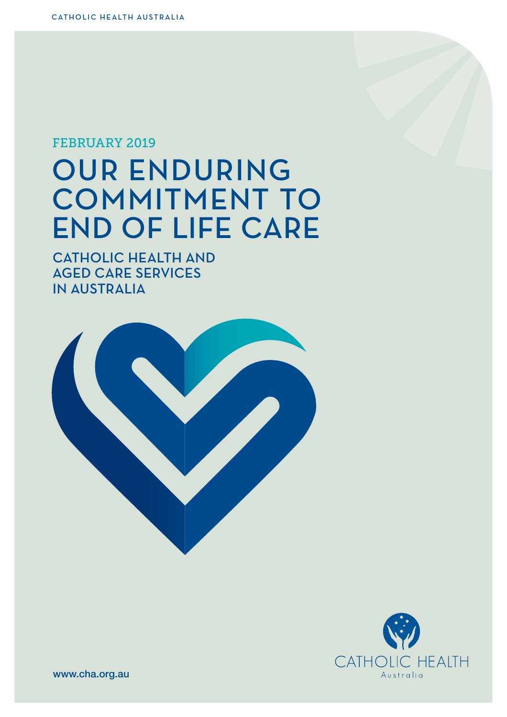### FEBRUARY 2019

# OUR ENDURING COMMITMENT TO END OF LIFE CARE

CATHOLIC HEALTH AND AGED CARE SERVICES IN AUSTRALIA





www.cha.org.au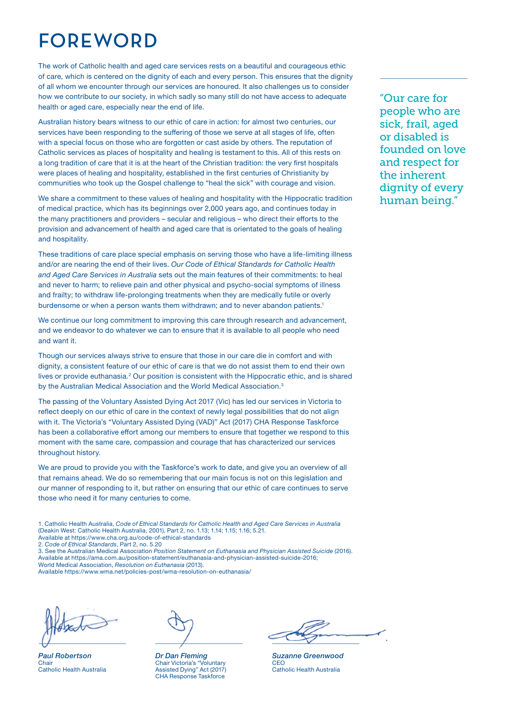# FOREWORD

The work of Catholic health and aged care services rests on a beautiful and courageous ethic of care, which is centered on the dignity of each and every person. This ensures that the dignity of all whom we encounter through our services are honoured. It also challenges us to consider how we contribute to our society, in which sadly so many still do not have access to adequate health or aged care, especially near the end of life.

Australian history bears witness to our ethic of care in action: for almost two centuries, our services have been responding to the sufering of those we serve at all stages of life, often with a special focus on those who are forgotten or cast aside by others. The reputation of Catholic services as places of hospitality and healing is testament to this. All of this rests on a long tradition of care that it is at the heart of the Christian tradition: the very frst hospitals were places of healing and hospitality, established in the first centuries of Christianity by communities who took up the Gospel challenge to "heal the sick" with courage and vision.

We share a commitment to these values of healing and hospitality with the Hippocratic tradition of medical practice, which has its beginnings over 2,000 years ago, and continues today in the many practitioners and providers – secular and religious – who direct their eforts to the provision and advancement of health and aged care that is orientated to the goals of healing and hospitality.

These traditions of care place special emphasis on serving those who have a life-limiting illness and/or are nearing the end of their lives. *Our Code of Ethical Standards for Catholic Health and Aged Care Services in Australia* sets out the main features of their commitments: to heal and never to harm; to relieve pain and other physical and psycho-social symptoms of illness and frailty; to withdraw life-prolonging treatments when they are medically futile or overly burdensome or when a person wants them withdrawn; and to never abandon patients.1

We continue our long commitment to improving this care through research and advancement, and we endeavor to do whatever we can to ensure that it is available to all people who need and want it.

Though our services always strive to ensure that those in our care die in comfort and with dignity, a consistent feature of our ethic of care is that we do not assist them to end their own lives or provide euthanasia.<sup>2</sup> Our position is consistent with the Hippocratic ethic, and is shared by the Australian Medical Association and the World Medical Association.<sup>3</sup>

The passing of the Voluntary Assisted Dying Act 2017 (Vic) has led our services in Victoria to refect deeply on our ethic of care in the context of newly legal possibilities that do not align with it. The Victoria's "Voluntary Assisted Dying (VAD)" Act (2017) CHA Response Taskforce has been a collaborative efort among our members to ensure that together we respond to this moment with the same care, compassion and courage that has characterized our services throughout history.

We are proud to provide you with the Taskforce's work to date, and give you an overview of all that remains ahead. We do so remembering that our main focus is not on this legislation and our manner of responding to it, but rather on ensuring that our ethic of care continues to serve those who need it for many centuries to come.

1. Catholic Health Australia, *Code of Ethical Standards for Catholic Health and Aged Care Services in Australia* (Deakin West: Catholic Health Australia, 2001), Part 2, no. 1.13; 1.14; 1.15; 1.16; 5.21.

Available at https://www.cha.org.au/code-of-ethical-standards

2. *Code of Ethical Standards*, Part 2, no. 5.20

3. See the Australian Medical Association *Position Statement on Euthanasia and Physician Assisted Suicide* (2016). Available at https://ama.com.au/position-statement/euthanasia-and-physician-assisted-suicide-2016; World Medical Association, *Resolution on Euthanasia* (2013).

Available https://www.wma.net/policies-post/wma-resolution-on-euthanasia/

*Paul Robertson* **Chair** Catholic Health Australia

*Dr Dan Fleming* Chair Victoria's "Voluntary Assisted Dying" Act (2017) CHA Response Taskforce

*Suzanne Greenwood* CEO Catholic Health Australia

"Our care for people who are sick, frail, aged or disabled is founded on love and respect for the inherent dignity of every human being."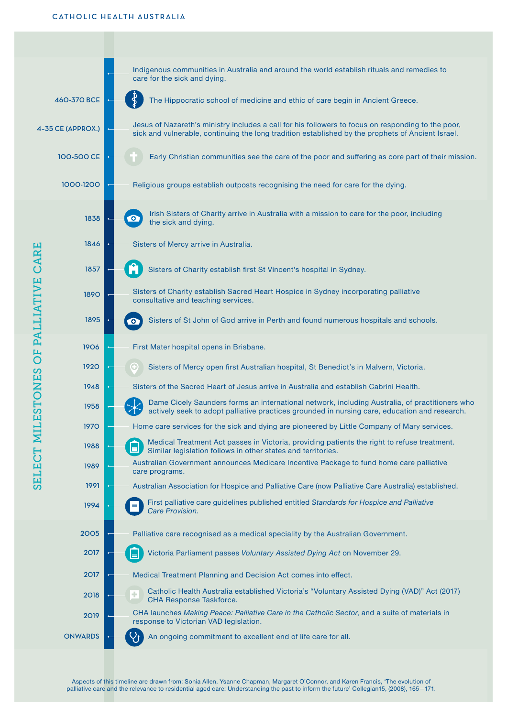

Aspects of this timeline are drawn from: Sonia Allen, Ysanne Chapman, Margaret O'Connor, and Karen Francis, 'The evolution of palliative care and the relevance to residential aged care: Understanding the past to inform the future' Collegian15, (2008), 165—171.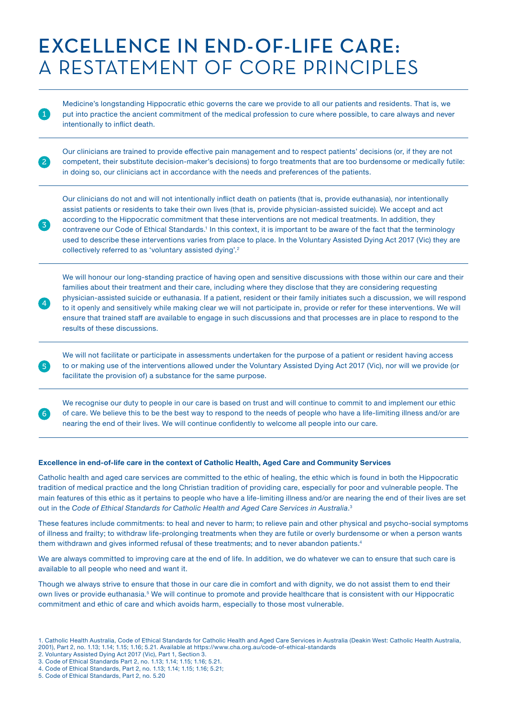# EXCELLENCE IN END-OF-LIFE CARE: A RESTATEMENT OF CORE PRINCIPLES

Medicine's longstanding Hippocratic ethic governs the care we provide to all our patients and residents. That is, we put into practice the ancient commitment of the medical profession to cure where possible, to care always and never intentionally to infict death.

Our clinicians are trained to provide efective pain management and to respect patients' decisions (or, if they are not competent, their substitute decision-maker's decisions) to forgo treatments that are too burdensome or medically futile: in doing so, our clinicians act in accordance with the needs and preferences of the patients.

Our clinicians do not and will not intentionally infict death on patients (that is, provide euthanasia), nor intentionally assist patients or residents to take their own lives (that is, provide physician-assisted suicide). We accept and act according to the Hippocratic commitment that these interventions are not medical treatments. In addition, they contravene our Code of Ethical Standards.<sup>1</sup> In this context, it is important to be aware of the fact that the terminology used to describe these interventions varies from place to place. In the Voluntary Assisted Dying Act 2017 (Vic) they are collectively referred to as 'voluntary assisted dying'.<sup>2</sup>

We will honour our long-standing practice of having open and sensitive discussions with those within our care and their families about their treatment and their care, including where they disclose that they are considering requesting physician-assisted suicide or euthanasia. If a patient, resident or their family initiates such a discussion, we will respond to it openly and sensitively while making clear we will not participate in, provide or refer for these interventions. We will ensure that trained staff are available to engage in such discussions and that processes are in place to respond to the results of these discussions.

We will not facilitate or participate in assessments undertaken for the purpose of a patient or resident having access to or making use of the interventions allowed under the Voluntary Assisted Dying Act 2017 (Vic), nor will we provide (or facilitate the provision of) a substance for the same purpose.

We recognise our duty to people in our care is based on trust and will continue to commit to and implement our ethic of care. We believe this to be the best way to respond to the needs of people who have a life-limiting illness and/or are nearing the end of their lives. We will continue confdently to welcome all people into our care.

#### **Excellence in end-of-life care in the context of Catholic Health, Aged Care and Community Services**

Catholic health and aged care services are committed to the ethic of healing, the ethic which is found in both the Hippocratic tradition of medical practice and the long Christian tradition of providing care, especially for poor and vulnerable people. The main features of this ethic as it pertains to people who have a life-limiting illness and/or are nearing the end of their lives are set out in the Code of Ethical Standards for Catholic Health and Aged Care Services in Australia.<sup>3</sup>

These features include commitments: to heal and never to harm; to relieve pain and other physical and psycho-social symptoms of illness and frailty; to withdraw life-prolonging treatments when they are futile or overly burdensome or when a person wants them withdrawn and gives informed refusal of these treatments; and to never abandon patients.4

We are always committed to improving care at the end of life. In addition, we do whatever we can to ensure that such care is available to all people who need and want it.

Though we always strive to ensure that those in our care die in comfort and with dignity, we do not assist them to end their own lives or provide euthanasia.<sup>5</sup> We will continue to promote and provide healthcare that is consistent with our Hippocratic commitment and ethic of care and which avoids harm, especially to those most vulnerable.

2

3

4

5

6

<sup>1.</sup> Catholic Health Australia, Code of Ethical Standards for Catholic Health and Aged Care Services in Australia (Deakin West: Catholic Health Australia, 2001), Part 2, no. 1.13; 1.14; 1.15; 1.16; 5.21. Available at https://www.cha.org.au/code-of-ethical-standards

<sup>2.</sup> Voluntary Assisted Dying Act 2017 (Vic), Part 1, Section 3.

<sup>3.</sup> Code of Ethical Standards Part 2, no. 1.13; 1.14; 1.15; 1.16; 5.21.

<sup>4.</sup> Code of Ethical Standards, Part 2, no. 1.13; 1.14; 1.15; 1.16; 5.21;

<sup>5.</sup> Code of Ethical Standards, Part 2, no. 5.20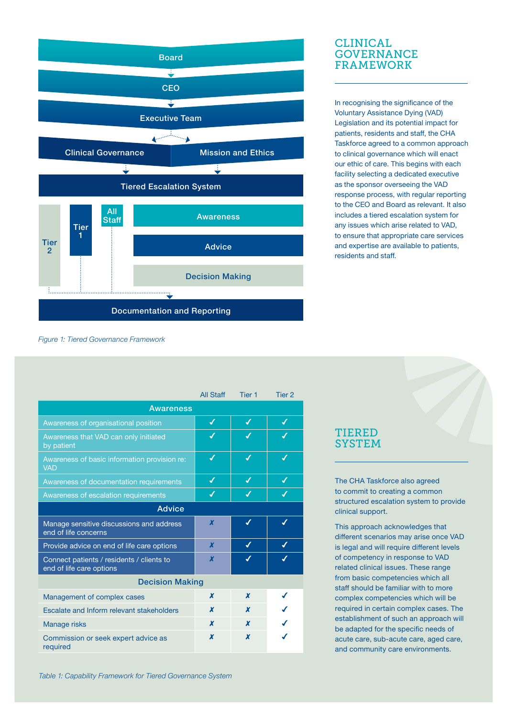

#### CLINICAL **GOVERNANCE** FRAMEWORK

In recognising the significance of the Voluntary Assistance Dying (VAD) Legislation and its potential impact for patients, residents and staff, the CHA Taskforce agreed to a common approach to clinical governance which will enact our ethic of care. This begins with each facility selecting a dedicated executive as the sponsor overseeing the VAD response process, with regular reporting to the CEO and Board as relevant. It also includes a tiered escalation system for any issues which arise related to VAD, to ensure that appropriate care services and expertise are available to patients, residents and staf.

|  |  |  | Figure 1: Tiered Governance Framework |  |
|--|--|--|---------------------------------------|--|
|--|--|--|---------------------------------------|--|

|                                                                       | <b>All Staff</b> | Tier <sub>1</sub> | Tier 2 |  |  |  |  |
|-----------------------------------------------------------------------|------------------|-------------------|--------|--|--|--|--|
| Awareness                                                             |                  |                   |        |  |  |  |  |
| Awareness of organisational position                                  | ✔                | ✔                 | ✔      |  |  |  |  |
| Awareness that VAD can only initiated<br>by patient                   |                  |                   |        |  |  |  |  |
| Awareness of basic information provision re:<br><b>VAD</b>            | ✔                | ✔                 | ✔      |  |  |  |  |
| Awareness of documentation requirements                               | ✔                | ✔                 | ✔      |  |  |  |  |
| Awareness of escalation requirements                                  | $\boldsymbol{J}$ | J                 | J      |  |  |  |  |
| Advice                                                                |                  |                   |        |  |  |  |  |
| Manage sensitive discussions and address<br>end of life concerns      | X                |                   |        |  |  |  |  |
| Provide advice on end of life care options                            | X                | ✔                 | J      |  |  |  |  |
| Connect patients / residents / clients to<br>end of life care options | X                | J                 |        |  |  |  |  |
| <b>Decision Making</b>                                                |                  |                   |        |  |  |  |  |
| Management of complex cases                                           | x                | X                 |        |  |  |  |  |
| Escalate and Inform relevant stakeholders                             | x                | X                 |        |  |  |  |  |
| Manage risks                                                          | x                | X                 |        |  |  |  |  |
| Commission or seek expert advice as<br>required                       | X                | X                 |        |  |  |  |  |

#### TIERED **SYSTEM**

The CHA Taskforce also agreed to commit to creating a common structured escalation system to provide clinical support.

This approach acknowledges that diferent scenarios may arise once VAD is legal and will require diferent levels of competency in response to VAD related clinical issues. These range from basic competencies which all staff should be familiar with to more complex competencies which will be required in certain complex cases. The establishment of such an approach will be adapted for the specific needs of acute care, sub-acute care, aged care, and community care environments.